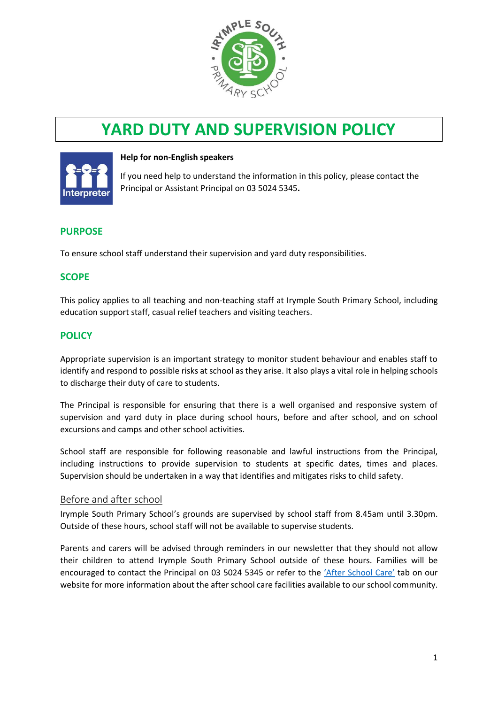

# **YARD DUTY AND SUPERVISION POLICY**



#### **Help for non-English speakers**

If you need help to understand the information in this policy, please contact the Principal or Assistant Principal on 03 5024 5345.

## **PURPOSE**

To ensure school staff understand their supervision and yard duty responsibilities.

# **SCOPE**

This policy applies to all teaching and non-teaching staff at Irymple South Primary School, including education support staff, casual relief teachers and visiting teachers.

# **POLICY**

Appropriate supervision is an important strategy to monitor student behaviour and enables staff to identify and respond to possible risks at school as they arise. It also plays a vital role in helping schools to discharge their duty of care to students.

The Principal is responsible for ensuring that there is a well organised and responsive system of supervision and yard duty in place during school hours, before and after school, and on school excursions and camps and other school activities.

School staff are responsible for following reasonable and lawful instructions from the Principal, including instructions to provide supervision to students at specific dates, times and places. Supervision should be undertaken in a way that identifies and mitigates risks to child safety.

## Before and after school

Irymple South Primary School's grounds are supervised by school staff from 8.45am until 3.30pm. Outside of these hours, school staff will not be available to supervise students.

Parents and carers will be advised through reminders in our newsletter that they should not allow their children to attend Irymple South Primary School outside of these hours. Families will be encouraged to contact the Principal on 03 5024 5345 or refer to the ['After School Care'](https://www.irymplesouthps.vic.edu.au/after-school-care/) tab on our website for more information about the after school care facilities available to our school community.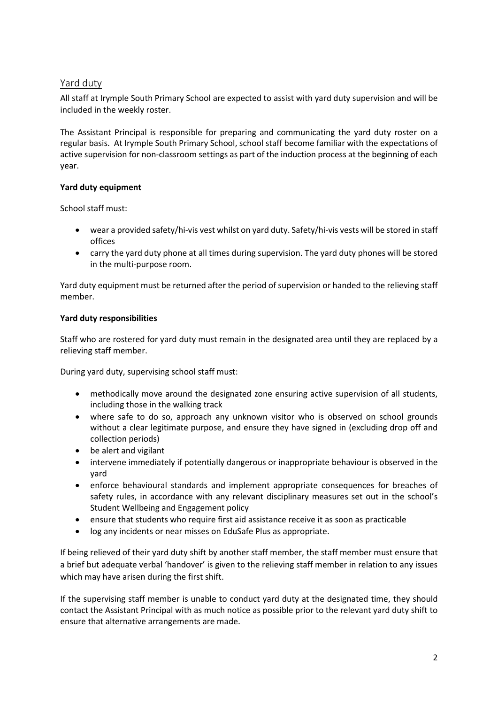# Yard duty

All staff at Irymple South Primary School are expected to assist with yard duty supervision and will be included in the weekly roster.

The Assistant Principal is responsible for preparing and communicating the yard duty roster on a regular basis. At Irymple South Primary School, school staff become familiar with the expectations of active supervision for non-classroom settings as part of the induction process at the beginning of each year.

## **Yard duty equipment**

School staff must:

- wear a provided safety/hi-vis vest whilst on yard duty. Safety/hi-vis vests will be stored in staff offices
- carry the yard duty phone at all times during supervision. The yard duty phones will be stored in the multi-purpose room.

Yard duty equipment must be returned after the period of supervision or handed to the relieving staff member.

# **Yard duty responsibilities**

Staff who are rostered for yard duty must remain in the designated area until they are replaced by a relieving staff member.

During yard duty, supervising school staff must:

- methodically move around the designated zone ensuring active supervision of all students, including those in the walking track
- where safe to do so, approach any unknown visitor who is observed on school grounds without a clear legitimate purpose, and ensure they have signed in (excluding drop off and collection periods)
- be alert and vigilant
- intervene immediately if potentially dangerous or inappropriate behaviour is observed in the yard
- enforce behavioural standards and implement appropriate consequences for breaches of safety rules, in accordance with any relevant disciplinary measures set out in the school's Student Wellbeing and Engagement policy
- ensure that students who require first aid assistance receive it as soon as practicable
- log any incidents or near misses on EduSafe Plus as appropriate.

If being relieved of their yard duty shift by another staff member, the staff member must ensure that a brief but adequate verbal 'handover' is given to the relieving staff member in relation to any issues which may have arisen during the first shift.

If the supervising staff member is unable to conduct yard duty at the designated time, they should contact the Assistant Principal with as much notice as possible prior to the relevant yard duty shift to ensure that alternative arrangements are made.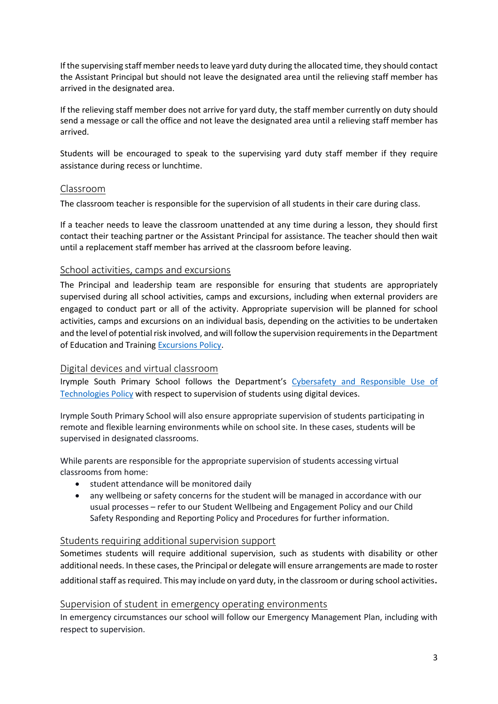If the supervising staff member needs to leave yard duty during the allocated time, they should contact the Assistant Principal but should not leave the designated area until the relieving staff member has arrived in the designated area.

If the relieving staff member does not arrive for yard duty, the staff member currently on duty should send a message or call the office and not leave the designated area until a relieving staff member has arrived.

Students will be encouraged to speak to the supervising yard duty staff member if they require assistance during recess or lunchtime.

# Classroom

The classroom teacher is responsible for the supervision of all students in their care during class.

If a teacher needs to leave the classroom unattended at any time during a lesson, they should first contact their teaching partner or the Assistant Principal for assistance. The teacher should then wait until a replacement staff member has arrived at the classroom before leaving.

## School activities, camps and excursions

The Principal and leadership team are responsible for ensuring that students are appropriately supervised during all school activities, camps and excursions, including when external providers are engaged to conduct part or all of the activity. Appropriate supervision will be planned for school activities, camps and excursions on an individual basis, depending on the activities to be undertaken and the level of potential risk involved, and will follow the supervision requirements in the Department of Education and Training [Excursions Policy.](https://www2.education.vic.gov.au/pal/excursions/policy)

# Digital devices and virtual classroom

Irymple South Primary School follows the Department's [Cybersafety and Responsible Use of](https://www2.education.vic.gov.au/pal/cybersafety/policy)  [Technologies Policy](https://www2.education.vic.gov.au/pal/cybersafety/policy) with respect to supervision of students using digital devices.

Irymple South Primary School will also ensure appropriate supervision of students participating in remote and flexible learning environments while on school site. In these cases, students will be supervised in designated classrooms.

While parents are responsible for the appropriate supervision of students accessing virtual classrooms from home:

- student attendance will be monitored daily
- any wellbeing or safety concerns for the student will be managed in accordance with our usual processes – refer to our Student Wellbeing and Engagement Policy and our Child Safety Responding and Reporting Policy and Procedures for further information.

## Students requiring additional supervision support

Sometimes students will require additional supervision, such as students with disability or other additional needs. In these cases, the Principal or delegate will ensure arrangements are made to roster additional staff as required. This may include on yard duty, in the classroom or during school activities.

## Supervision of student in emergency operating environments

In emergency circumstances our school will follow our Emergency Management Plan, including with respect to supervision.